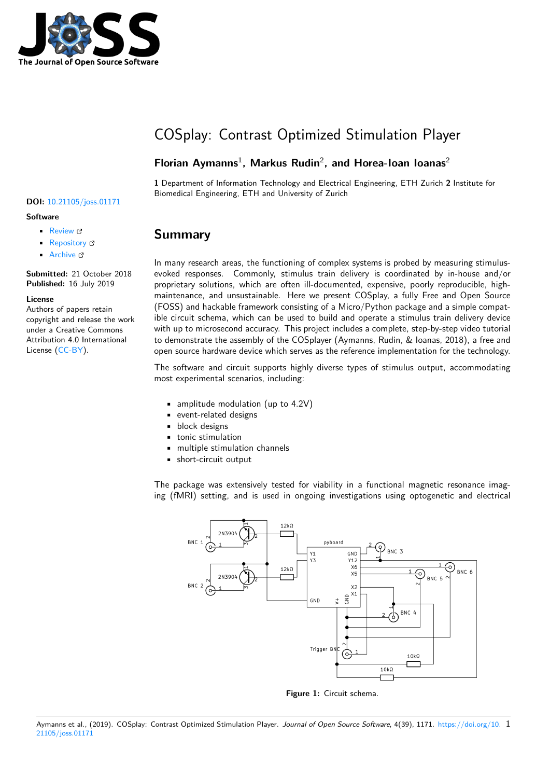

# COSplay: Contrast Optimized Stimulation Player

### **Florian Aymanns**<sup>1</sup> **, Markus Rudin**<sup>2</sup> **, and Horea-Ioan Ioanas**<sup>2</sup>

**1** Department of Information Technology and Electrical Engineering, ETH Zurich **2** Institute for Biomedical Engineering, ETH and University of Zurich

### **Summary**

In many research areas, the functioning of complex systems is probed by measuring stimulusevoked responses. Commonly, stimulus train delivery is coordinated by in-house and/or proprietary solutions, which are often ill-documented, expensive, poorly reproducible, highmaintenance, and unsustainable. Here we present COSplay, a fully Free and Open Source (FOSS) and hackable framework consisting of a Micro/Python package and a simple compatible circuit schema, which can be used to build and operate a stimulus train delivery device with up to microsecond accuracy. This project includes a complete, step-by-step video tutorial to demonstrate the assembly of the COSplayer (Aymanns, Rudin, & Ioanas, 2018), a free and open source hardware device which serves as the reference implementation for the technology.

The software and circuit supports highly diverse types of stimulus output, accommodating most experimental scenarios, including:

- amplitude modulation (up to 4.2V)
- event-related designs
- **•** block designs
- tonic stimulation
- multiple stimulation channels
- short-circuit output

The package was extensively tested for viability in a functional magnetic resonance imaging (fMRI) setting, and is used in ongoing investigations using optogenetic and electrical



**Figure 1:** Circuit schema.

#### **DOI:** 10.21105/joss.01171

#### **Software**

- Review &
- [Repository](https://doi.org/10.21105/joss.01171) &
- Archive

**Subm[itted:](https://github.com/openjournals/joss-reviews/issues/1171)** 21 October 2018 **Published:** [16 Ju](https://github.com/IBT-FMI/COSplay/)ly 2019

#### **Licen[se](https://doi.org/10.5281/zenodo.3338391)**

Authors of papers retain copyright and release the work under a Creative Commons Attribution 4.0 International License (CC-BY).